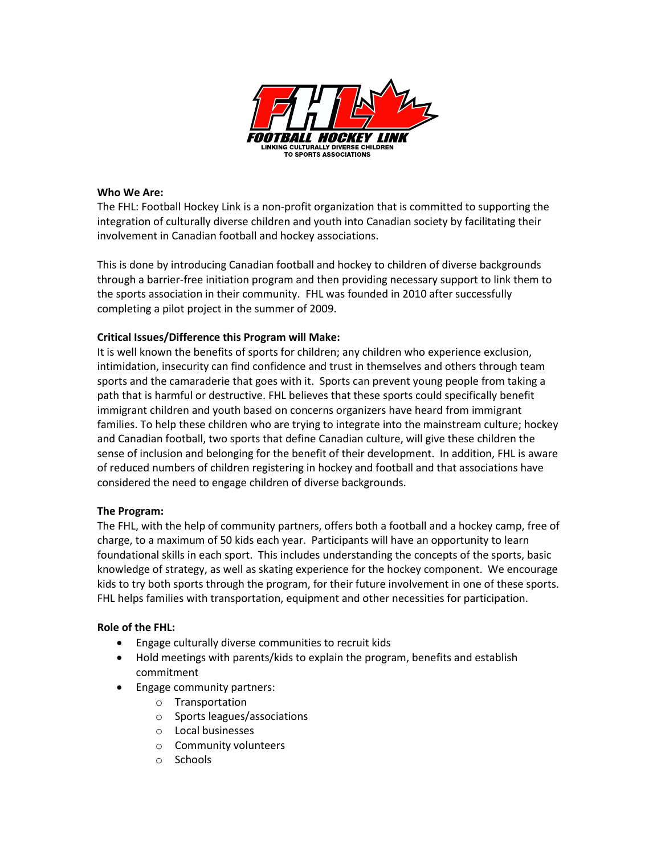

## **Who We Are:**

The FHL: Football Hockey Link is a non-profit organization that is committed to supporting the integration of culturally diverse children and youth into Canadian society by facilitating their involvement in Canadian football and hockey associations.

This is done by introducing Canadian football and hockey to children of diverse backgrounds through a barrier-free initiation program and then providing necessary support to link them to the sports association in their community. FHL was founded in 2010 after successfully completing a pilot project in the summer of 2009.

## **Critical Issues/Difference this Program will Make:**

It is well known the benefits of sports for children; any children who experience exclusion, intimidation, insecurity can find confidence and trust in themselves and others through team sports and the camaraderie that goes with it. Sports can prevent young people from taking a path that is harmful or destructive. FHL believes that these sports could specifically benefit immigrant children and youth based on concerns organizers have heard from immigrant families. To help these children who are trying to integrate into the mainstream culture; hockey and Canadian football, two sports that define Canadian culture, will give these children the sense of inclusion and belonging for the benefit of their development. In addition, FHL is aware of reduced numbers of children registering in hockey and football and that associations have considered the need to engage children of diverse backgrounds.

## **The Program:**

The FHL, with the help of community partners, offers both a football and a hockey camp, free of charge, to a maximum of 50 kids each year. Participants will have an opportunity to learn foundational skills in each sport. This includes understanding the concepts of the sports, basic knowledge of strategy, as well as skating experience for the hockey component. We encourage kids to try both sports through the program, for their future involvement in one of these sports. FHL helps families with transportation, equipment and other necessities for participation.

## **Role of the FHL:**

- Engage culturally diverse communities to recruit kids
- Hold meetings with parents/kids to explain the program, benefits and establish commitment
- Engage community partners:
	- o Transportation
	- o Sports leagues/associations
	- o Local businesses
	- o Community volunteers
	- o Schools